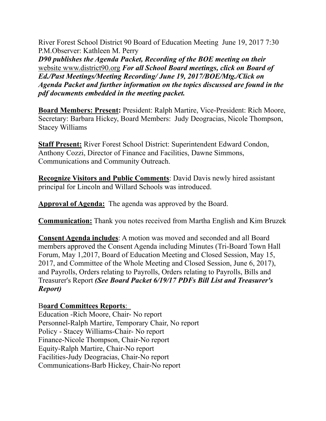River Forest School District 90 Board of Education Meeting June 19, 2017 7:30 P.M.Observer: Kathleen M. Perry

*D90 publishes the Agenda Packet, Recording of the BOE meeting on their*  website www.district90.org *For all School Board meetings, click on Board of Ed./Past Meetings/Meeting Recording/ June 19, 2017/BOE/Mtg./Click on Agenda Packet and further information on the topics discussed are found in the pdf documents embedded in the meeting packet.* 

**Board Members: Present:** President: Ralph Martire, Vice-President: Rich Moore, Secretary: Barbara Hickey, Board Members: Judy Deogracias, Nicole Thompson, Stacey Williams

**Staff Present:** River Forest School District: Superintendent Edward Condon, Anthony Cozzi, Director of Finance and Facilities, Dawne Simmons, Communications and Community Outreach.

**Recognize Visitors and Public Comments**: David Davis newly hired assistant principal for Lincoln and Willard Schools was introduced.

**Approval of Agenda:** The agenda was approved by the Board.

**Communication:** Thank you notes received from Martha English and Kim Bruzek

**Consent Agenda includes**: A motion was moved and seconded and all Board members approved the Consent Agenda including Minutes (Tri-Board Town Hall Forum, May 1,2017, Board of Education Meeting and Closed Session, May 15, 2017, and Committee of the Whole Meeting and Closed Session, June 6, 2017), and Payrolls, Orders relating to Payrolls, Orders relating to Payrolls, Bills and Treasurer's Report *(See Board Packet 6/19/17 PDFs Bill List and Treasurer's Report)* 

# B**oard Committees Reports**:

Education -Rich Moore, Chair- No report Personnel-Ralph Martire, Temporary Chair, No report Policy - Stacey Williams-Chair- No report Finance-Nicole Thompson, Chair-No report Equity-Ralph Martire, Chair-No report Facilities-Judy Deogracias, Chair-No report Communications-Barb Hickey, Chair-No report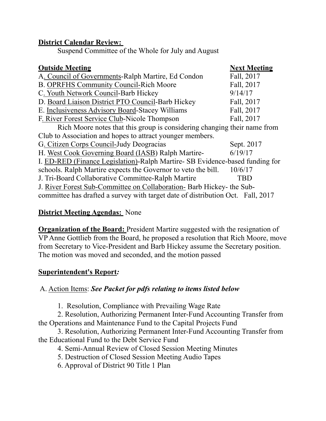#### **District Calendar Review:**

Suspend Committee of the Whole for July and August

| <b>Next Meeting</b>                                                             |  |
|---------------------------------------------------------------------------------|--|
| Fall, 2017                                                                      |  |
| Fall, 2017                                                                      |  |
| 9/14/17                                                                         |  |
| Fall, 2017                                                                      |  |
| Fall, 2017                                                                      |  |
| Fall, 2017                                                                      |  |
| Rich Moore notes that this group is considering changing their name from        |  |
|                                                                                 |  |
| Sept. 2017                                                                      |  |
| 6/19/17                                                                         |  |
| I. ED-RED (Finance Legislation)-Ralph Martire-SB Evidence-based funding for     |  |
| 10/6/17                                                                         |  |
| TBD                                                                             |  |
| J. River Forest Sub-Committee on Collaboration- Barb Hickey- the Sub-           |  |
| committee has drafted a survey with target date of distribution Oct. Fall, 2017 |  |
|                                                                                 |  |

### **District Meeting Agendas:** None

**Organization of the Board:** President Martire suggested with the resignation of VP Anne Gottlieb from the Board, he proposed a resolution that Rich Moore, move from Secretary to Vice-President and Barb Hickey assume the Secretary position. The motion was moved and seconded, and the motion passed

### **Superintendent's Report***:*

# A. Action Items: *See Packet for pdfs relating to items listed below*

1. Resolution, Compliance with Prevailing Wage Rate

 2. Resolution, Authorizing Permanent Inter-Fund Accounting Transfer from the Operations and Maintenance Fund to the Capital Projects Fund

 3. Resolution, Authorizing Permanent Inter-Fund Accounting Transfer from the Educational Fund to the Debt Service Fund

4. Semi-Annual Review of Closed Session Meeting Minutes

5. Destruction of Closed Session Meeting Audio Tapes

6. Approval of District 90 Title 1 Plan